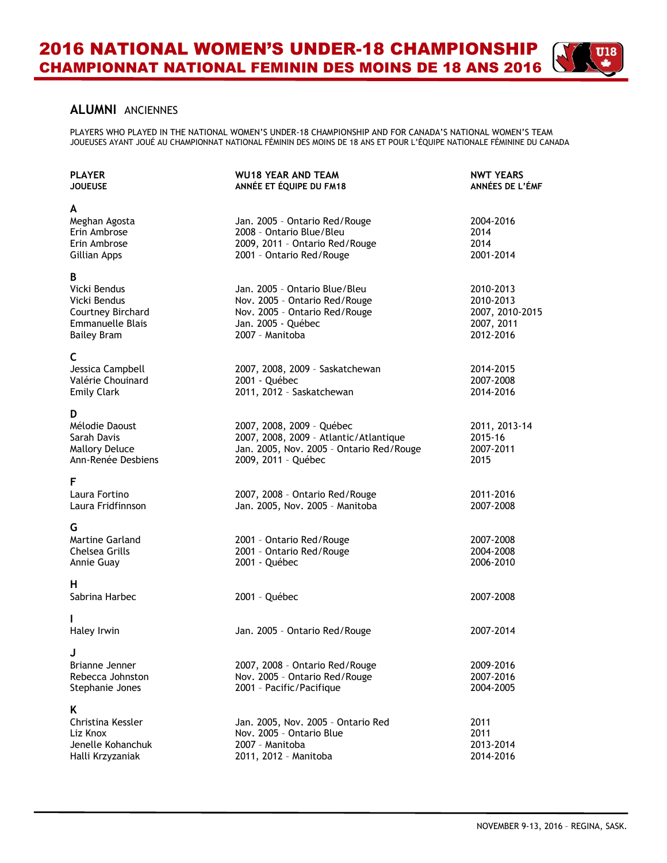## **ALUMNI** ANCIENNES

PLAYERS WHO PLAYED IN THE NATIONAL WOMEN'S UNDER-18 CHAMPIONSHIP AND FOR CANADA'S NATIONAL WOMEN'S TEAM JOUEUSES AYANT JOUÉ AU CHAMPIONNAT NATIONAL FÉMININ DES MOINS DE 18 ANS ET POUR L'ÉQUIPE NATIONALE FÉMININE DU CANADA

| <b>PLAYER</b><br><b>JOUEUSE</b>                                                                         | <b>WU18 YEAR AND TEAM</b><br>ANNÉE ET ÉQUIPE DU FM18                                                                                     | <b>NWT YEARS</b><br>ANNÉES DE L'ÉMF                                  |
|---------------------------------------------------------------------------------------------------------|------------------------------------------------------------------------------------------------------------------------------------------|----------------------------------------------------------------------|
| A<br>Meghan Agosta<br>Erin Ambrose<br>Erin Ambrose<br>Gillian Apps                                      | Jan. 2005 - Ontario Red/Rouge<br>2008 - Ontario Blue/Bleu<br>2009, 2011 - Ontario Red/Rouge<br>2001 - Ontario Red/Rouge                  | 2004-2016<br>2014<br>2014<br>2001-2014                               |
| B<br>Vicki Bendus<br>Vicki Bendus<br>Courtney Birchard<br><b>Emmanuelle Blais</b><br><b>Bailey Bram</b> | Jan. 2005 - Ontario Blue/Bleu<br>Nov. 2005 - Ontario Red/Rouge<br>Nov. 2005 - Ontario Red/Rouge<br>Jan. 2005 - Québec<br>2007 - Manitoba | 2010-2013<br>2010-2013<br>2007, 2010-2015<br>2007, 2011<br>2012-2016 |
| C<br>Jessica Campbell<br>Valérie Chouinard<br><b>Emily Clark</b>                                        | 2007, 2008, 2009 - Saskatchewan<br>2001 - Québec<br>2011, 2012 - Saskatchewan                                                            | 2014-2015<br>2007-2008<br>2014-2016                                  |
| D<br>Mélodie Daoust<br>Sarah Davis<br><b>Mallory Deluce</b><br>Ann-Renée Desbiens                       | 2007, 2008, 2009 - Québec<br>2007, 2008, 2009 - Atlantic/Atlantique<br>Jan. 2005, Nov. 2005 - Ontario Red/Rouge<br>2009, 2011 - Québec   | 2011, 2013-14<br>2015-16<br>2007-2011<br>2015                        |
| F<br>Laura Fortino<br>Laura Fridfinnson                                                                 | 2007, 2008 - Ontario Red/Rouge<br>Jan. 2005, Nov. 2005 - Manitoba                                                                        | 2011-2016<br>2007-2008                                               |
| G<br><b>Martine Garland</b><br>Chelsea Grills<br>Annie Guay                                             | 2001 - Ontario Red/Rouge<br>2001 - Ontario Red/Rouge<br>2001 - Québec                                                                    | 2007-2008<br>2004-2008<br>2006-2010                                  |
| н<br>Sabrina Harbec                                                                                     | 2001 - Québec                                                                                                                            | 2007-2008                                                            |
| I<br>Haley Irwin                                                                                        | Jan. 2005 - Ontario Red/Rouge                                                                                                            | 2007-2014                                                            |
| J<br>Brianne Jenner<br>Rebecca Johnston<br>Stephanie Jones                                              | 2007, 2008 - Ontario Red/Rouge<br>Nov. 2005 - Ontario Red/Rouge<br>2001 - Pacific/Pacifique                                              | 2009-2016<br>2007-2016<br>2004-2005                                  |
| K<br>Christina Kessler<br>Liz Knox<br>Jenelle Kohanchuk<br>Halli Krzyzaniak                             | Jan. 2005, Nov. 2005 - Ontario Red<br>Nov. 2005 - Ontario Blue<br>2007 - Manitoba<br>2011, 2012 - Manitoba                               | 2011<br>2011<br>2013-2014<br>2014-2016                               |